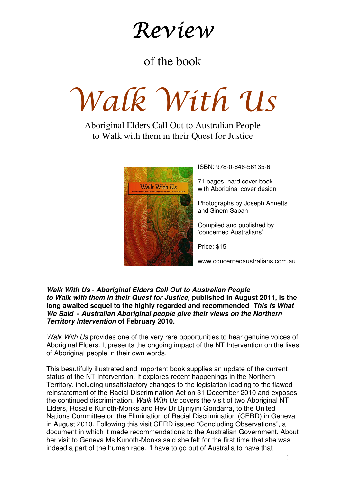## Review

### of the book

# Walk With Us

### Aboriginal Elders Call Out to Australian People to Walk with them in their Quest for Justice



ISBN: 978-0-646-56135-6

71 pages, hard cover book with Aboriginal cover design

Photographs by Joseph Annetts and Sinem Saban

Compiled and published by 'concerned Australians'

Price: \$15

www.concernedaustralians.com.au

#### **Walk With Us - Aboriginal Elders Call Out to Australian People to Walk with them in their Quest for Justice, published in August 2011, is the long awaited sequel to the highly regarded and recommended This Is What We Said - Australian Aboriginal people give their views on the Northern Territory Intervention of February 2010.**

Walk With Us provides one of the very rare opportunities to hear genuine voices of Aboriginal Elders. It presents the ongoing impact of the NT Intervention on the lives of Aboriginal people in their own words.

This beautifully illustrated and important book supplies an update of the current status of the NT Intervention. It explores recent happenings in the Northern Territory, including unsatisfactory changes to the legislation leading to the flawed reinstatement of the Racial Discrimination Act on 31 December 2010 and exposes the continued discrimination. Walk With Us covers the visit of two Aboriginal NT Elders, Rosalie Kunoth-Monks and Rev Dr Djiniyini Gondarra, to the United Nations Committee on the Elimination of Racial Discrimination (CERD) in Geneva in August 2010. Following this visit CERD issued "Concluding Observations", a document in which it made recommendations to the Australian Government. About her visit to Geneva Ms Kunoth-Monks said she felt for the first time that she was indeed a part of the human race. "I have to go out of Australia to have that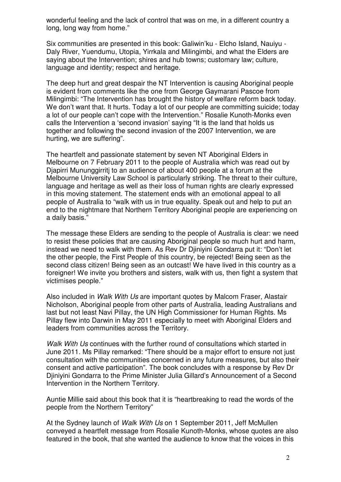wonderful feeling and the lack of control that was on me, in a different country a long, long way from home."

Six communities are presented in this book: Galiwin'ku - Elcho Island, Nauiyu - Daly River, Yuendumu, Utopia, Yirrkala and Milingimbi, and what the Elders are saying about the Intervention; shires and hub towns; customary law; culture, language and identity; respect and heritage.

The deep hurt and great despair the NT Intervention is causing Aboriginal people is evident from comments like the one from George Gaymarani Pascoe from Milingimbi: "The Intervention has brought the history of welfare reform back today. We don't want that. It hurts. Today a lot of our people are committing suicide; today a lot of our people can't cope with the Intervention." Rosalie Kunoth-Monks even calls the Intervention a 'second invasion' saying "It is the land that holds us together and following the second invasion of the 2007 Intervention, we are hurting, we are suffering".

The heartfelt and passionate statement by seven NT Aboriginal Elders in Melbourne on 7 February 2011 to the people of Australia which was read out by Djapirri Mununggirritj to an audience of about 400 people at a forum at the Melbourne University Law School is particularly striking. The threat to their culture, language and heritage as well as their loss of human rights are clearly expressed in this moving statement. The statement ends with an emotional appeal to all people of Australia to "walk with us in true equality. Speak out and help to put an end to the nightmare that Northern Territory Aboriginal people are experiencing on a daily basis."

The message these Elders are sending to the people of Australia is clear: we need to resist these policies that are causing Aboriginal people so much hurt and harm, instead we need to walk with them. As Rev Dr Djiniyini Gondarra put it: "Don't let the other people, the First People of this country, be rejected! Being seen as the second class citizen! Being seen as an outcast! We have lived in this country as a foreigner! We invite you brothers and sisters, walk with us, then fight a system that victimises people."

Also included in Walk With Us are important quotes by Malcom Fraser, Alastair Nicholson, Aboriginal people from other parts of Australia, leading Australians and last but not least Navi Pillay, the UN High Commissioner for Human Rights. Ms Pillay flew into Darwin in May 2011 especially to meet with Aboriginal Elders and leaders from communities across the Territory.

Walk With Us continues with the further round of consultations which started in June 2011. Ms Pillay remarked: "There should be a major effort to ensure not just consultation with the communities concerned in any future measures, but also their consent and active participation". The book concludes with a response by Rev Dr Djiniyini Gondarra to the Prime Minister Julia Gillard's Announcement of a Second Intervention in the Northern Territory.

Auntie Millie said about this book that it is "heartbreaking to read the words of the people from the Northern Territory"

At the Sydney launch of Walk With Us on 1 September 2011, Jeff McMullen conveyed a heartfelt message from Rosalie Kunoth-Monks, whose quotes are also featured in the book, that she wanted the audience to know that the voices in this